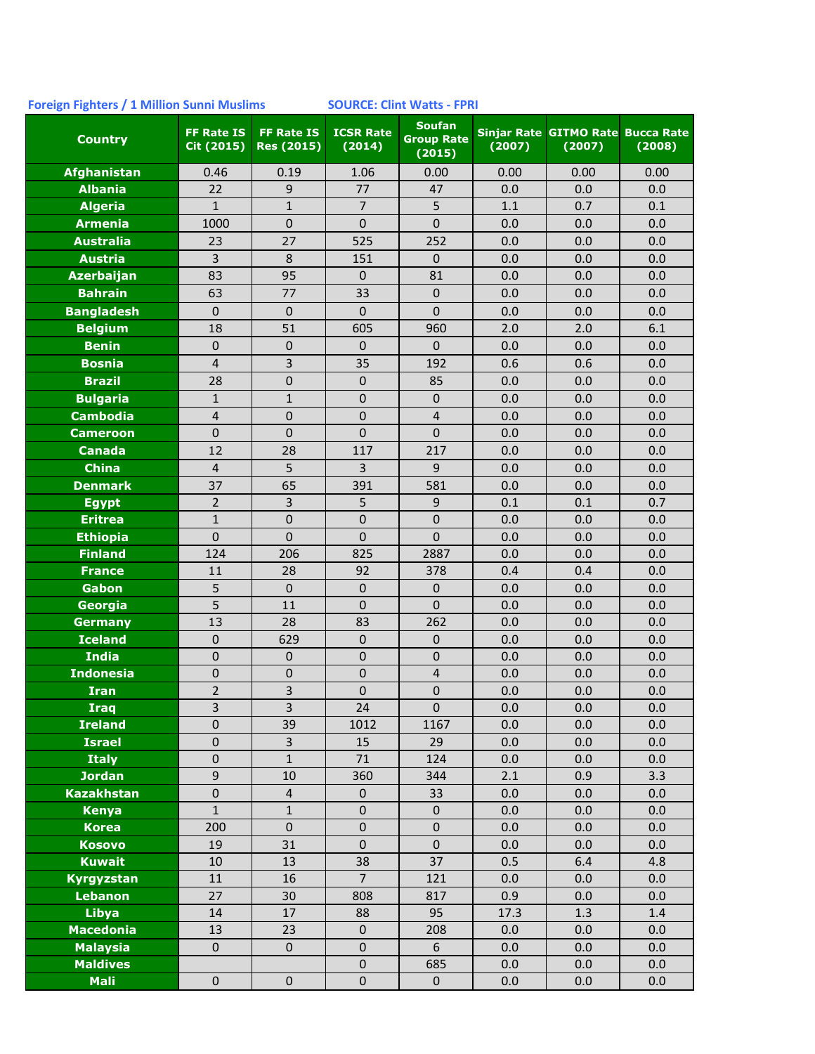## **Foreign Fighters / 1 Million Sunni Muslims SOURCE: Clint Watts - FPRI**

| <b>Country</b>                     | <b>FF Rate IS</b><br>Cit (2015) | <b>FF Rate IS</b><br><b>Res (2015)</b> | <b>ICSR Rate</b><br>(2014) | <b>Soufan</b><br><b>Group Rate</b><br>(2015) | (2007)     | Sinjar Rate GITMO Rate Bucca Rate<br>(2007) | (2008)     |
|------------------------------------|---------------------------------|----------------------------------------|----------------------------|----------------------------------------------|------------|---------------------------------------------|------------|
| <b>Afghanistan</b>                 | 0.46                            | 0.19                                   | 1.06                       | 0.00                                         | 0.00       | 0.00                                        | 0.00       |
| <b>Albania</b>                     | 22                              | $9$                                    | 77                         | 47                                           | 0.0        | 0.0                                         | 0.0        |
| <b>Algeria</b>                     | $\mathbf{1}$                    | $\mathbf 1$                            | $\overline{7}$             | 5                                            | 1.1        | 0.7                                         | 0.1        |
| <b>Armenia</b>                     | 1000                            | $\mathbf 0$                            | $\overline{0}$             | $\overline{0}$                               | 0.0        | 0.0                                         | 0.0        |
| <b>Australia</b>                   | 23                              | 27                                     | 525                        | 252                                          | 0.0        | 0.0                                         | 0.0        |
| <b>Austria</b>                     | 3                               | $\,8\,$                                | 151                        | 0                                            | 0.0        | 0.0                                         | 0.0        |
| <b>Azerbaijan</b>                  | 83                              | 95                                     | 0                          | 81                                           | 0.0        | 0.0                                         | 0.0        |
| <b>Bahrain</b>                     | 63                              | 77                                     | 33                         | $\boldsymbol{0}$                             | 0.0        | 0.0                                         | 0.0        |
| <b>Bangladesh</b>                  | $\mathbf 0$                     | $\mathbf 0$                            | $\mathbf 0$                | $\overline{0}$                               | 0.0        | 0.0                                         | 0.0        |
| <b>Belgium</b>                     | 18                              | 51                                     | 605                        | 960                                          | 2.0        | 2.0                                         | 6.1        |
| <b>Benin</b>                       | $\mathbf{0}$                    | $\pmb{0}$                              | $\pmb{0}$                  | $\mathbf 0$                                  | 0.0        | 0.0                                         | 0.0        |
| <b>Bosnia</b>                      | $\overline{4}$                  | $\overline{3}$                         | 35                         | 192                                          | 0.6        | 0.6                                         | 0.0        |
| <b>Brazil</b>                      | 28                              | $\mathbf 0$                            | 0                          | 85                                           | 0.0        | 0.0                                         | 0.0        |
| <b>Bulgaria</b>                    | $\mathbf{1}$                    | $\mathbf{1}$                           | $\boldsymbol{0}$           | 0                                            | 0.0        | 0.0                                         | 0.0        |
| <b>Cambodia</b>                    | $\sqrt{4}$                      | $\pmb{0}$                              | $\pmb{0}$                  | $\overline{4}$                               | 0.0        | 0.0                                         | 0.0        |
| <b>Cameroon</b>                    | $\mathbf 0$                     | $\pmb{0}$                              | $\mathbf 0$                | $\mathbf 0$                                  | 0.0        | 0.0                                         | 0.0        |
| <b>Canada</b>                      | 12                              | 28                                     | 117                        | 217                                          | 0.0        | 0.0                                         | 0.0        |
| <b>China</b>                       | $\overline{4}$                  | 5                                      | 3                          | 9                                            | 0.0        | 0.0                                         | 0.0        |
| <b>Denmark</b>                     | 37                              | 65                                     | 391                        | 581                                          | 0.0        | 0.0                                         | 0.0        |
| <b>Egypt</b>                       | $\overline{2}$                  | $\overline{3}$                         | 5                          | 9                                            | 0.1        | 0.1                                         | 0.7        |
| <b>Eritrea</b>                     | $\mathbf 1$                     | $\boldsymbol{0}$                       | $\mathbf 0$                | $\mathbf 0$                                  | 0.0        | 0.0                                         | 0.0        |
| <b>Ethiopia</b>                    | $\mathbf 0$                     | $\overline{0}$                         | $\overline{0}$             | $\overline{0}$                               | 0.0        | 0.0                                         | 0.0        |
| <b>Finland</b>                     | 124                             | 206                                    | 825                        | 2887                                         | 0.0        | 0.0                                         | 0.0        |
| <b>France</b>                      | 11                              | 28                                     | 92                         | 378                                          | 0.4        | 0.4                                         | 0.0        |
| Gabon                              | 5                               | $\mathbf{0}$                           | 0                          | $\pmb{0}$                                    | 0.0        | 0.0                                         | 0.0        |
| Georgia                            | 5                               | 11                                     | $\mathbf 0$                | $\mathbf 0$                                  | 0.0        | 0.0                                         | 0.0        |
| <b>Germany</b>                     | 13                              | 28                                     | 83                         | 262                                          | 0.0        | 0.0                                         | 0.0        |
| <b>Iceland</b>                     | $\boldsymbol{0}$                | 629                                    | $\boldsymbol{0}$           | 0                                            | 0.0        | 0.0                                         | 0.0        |
| <b>India</b>                       | $\mathbf 0$                     | $\pmb{0}$                              | $\pmb{0}$                  | $\pmb{0}$                                    | 0.0        | 0.0                                         | 0.0        |
| <b>Indonesia</b>                   | $\pmb{0}$                       | $\pmb{0}$                              | $\pmb{0}$                  | $\sqrt{4}$                                   | 0.0        | 0.0                                         | 0.0        |
| <b>Iran</b>                        | $\overline{2}$                  | $\overline{\mathbf{3}}$                | $\boldsymbol{0}$           | $\boldsymbol{0}$                             | 0.0        | 0.0                                         | 0.0        |
| <b>Iraq</b>                        | $\overline{\mathbf{z}}$         | $\overline{3}$                         | 24                         | $\overline{0}$                               | 0.0        | 0.0                                         | 0.0        |
| <b>Ireland</b>                     | $\mathbf 0$                     | 39                                     | 1012                       | 1167                                         | 0.0        | 0.0                                         | 0.0        |
| <b>Israel</b>                      | 0                               | $\overline{3}$                         | 15                         | 29                                           | 0.0        | 0.0                                         | 0.0        |
| <b>Italy</b>                       | $\pmb{0}$                       | $\mathbf 1$                            | 71                         | 124                                          | 0.0        | 0.0                                         | 0.0        |
| <b>Jordan</b>                      | 9                               | 10                                     | 360                        | 344                                          | 2.1        | 0.9                                         | 3.3        |
| <b>Kazakhstan</b>                  | $\mathbf 0$                     | $\overline{4}$                         | $\pmb{0}$                  | 33                                           | 0.0        | 0.0                                         | 0.0        |
| <b>Kenya</b>                       | $\mathbf{1}$                    | $1\,$                                  | $\pmb{0}$                  | $\pmb{0}$                                    | 0.0        | 0.0                                         | 0.0        |
| <b>Korea</b>                       | 200                             | $\pmb{0}$                              | $\pmb{0}$                  | $\pmb{0}$                                    | 0.0        | 0.0                                         | 0.0        |
| <b>Kosovo</b>                      | 19                              | 31                                     | $\mathbf 0$                | $\pmb{0}$                                    | 0.0        | 0.0                                         | 0.0        |
| <b>Kuwait</b>                      | 10                              | 13                                     | 38<br>$\overline{7}$       | 37                                           | 0.5        | 6.4                                         | 4.8        |
| <b>Kyrgyzstan</b>                  | 11                              | 16                                     |                            | 121                                          | 0.0        | 0.0                                         | 0.0        |
| <b>Lebanon</b>                     | 27                              | 30                                     | 808                        | 817<br>95                                    | 0.9        | 0.0                                         | 0.0        |
| Libya<br><b>Macedonia</b>          | 14                              | 17                                     | 88                         |                                              | 17.3       | 1.3                                         | 1.4        |
|                                    | 13<br>$\pmb{0}$                 | 23<br>$\pmb{0}$                        | $\pmb{0}$<br>$\pmb{0}$     | 208<br>6                                     | 0.0        | 0.0                                         | 0.0        |
| <b>Malaysia</b><br><b>Maldives</b> |                                 |                                        | $\pmb{0}$                  | 685                                          | 0.0<br>0.0 | 0.0<br>0.0                                  | 0.0<br>0.0 |
| <b>Mali</b>                        | $\pmb{0}$                       | $\pmb{0}$                              | $\pmb{0}$                  | $\pmb{0}$                                    | 0.0        | 0.0                                         | 0.0        |
|                                    |                                 |                                        |                            |                                              |            |                                             |            |